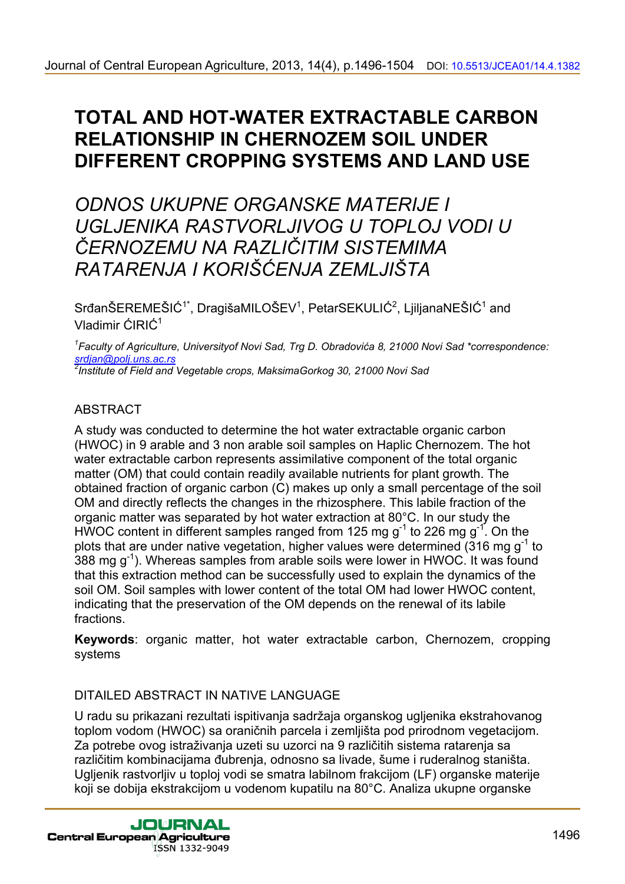# **TOTAL AND HOT-WATER EXTRACTABLE CARBON RELATIONSHIP IN CHERNOZEM SOIL UNDER DIFFERENT CROPPING SYSTEMS AND LAND USE**

*ODNOS UKUPNE ORGANSKE MATERIJE I UGLJENIKA RASTVORLJIVOG U TOPLOJ VODI U ČERNOZEMU NA RAZLIČITIM SISTEMIMA RATARENJA I KORIŠĆENJA ZEMLJIŠTA* 

 $S$ rđanŠEREMEŠIĆ<sup>1\*</sup>, DragišaMILOŠEV<sup>1</sup>, PetarSEKULIĆ<sup>2</sup>, LjiljanaNEŠIĆ<sup>1</sup> and Vladimir ĆIRIĆ<sup>1</sup>

*1 Faculty of Agriculture, Universityof Novi Sad, Trg D. Obradovića 8, 21000 Novi Sad \*correspondence: srdjan@polj.uns.ac.rs 2 Institute of Field and Vegetable crops, MaksimaGorkog 30, 21000 Novi Sad* 

### ABSTRACT

A study was conducted to determine the hot water extractable organic carbon (HWOC) in 9 arable and 3 non arable soil samples on Haplic Chernozem. The hot water extractable carbon represents assimilative component of the total organic matter (OM) that could contain readily available nutrients for plant growth. The obtained fraction of organic carbon (C) makes up only a small percentage of the soil OM and directly reflects the changes in the rhizosphere. This labile fraction of the organic matter was separated by hot water extraction at 80°C. In our study the HWOC content in different samples ranged from 125 mg  $g^{-1}$  to 226 mg  $g^{-1}$ . On the plots that are under native vegetation, higher values were determined  $(316 \text{ mg g}^{-1}$  to 388 mg  $g^{-1}$ ). Whereas samples from arable soils were lower in HWOC. It was found that this extraction method can be successfully used to explain the dynamics of the soil OM. Soil samples with lower content of the total OM had lower HWOC content, indicating that the preservation of the OM depends on the renewal of its labile fractions. 36[Journal of Central European Agriculture, 2013, 14\(4\), p.1496-1504](http://jcea.agr.hr/volumes.php?search=Vol%3A14%2BNum%3A4) Dot. 19.3813/CEAPIN<br> **TOTAL AND HOT-WATER EXTRACTABLE CARBON**<br> **RELATIONSHIP IN CHERNOZEM SOIL UNDER**<br>
DIFFERENT CROPPING SYSTEMS AND LAND USE<br>
CODINOS

**Keywords**: organic matter, hot water extractable carbon, Chernozem, cropping systems

### DITAILED ABSTRACT IN NATIVE LANGUAGE

U radu su prikazani rezultati ispitivanja sadržaja organskog ugljenika ekstrahovanog toplom vodom (HWOC) sa oraničnih parcela i zemljišta pod prirodnom vegetacijom. Za potrebe ovog istraživanja uzeti su uzorci na 9 različitih sistema ratarenja sa različitim kombinacijama đubrenja, odnosno sa livade, šume i ruderalnog staništa. Ugljenik rastvorljiv u toploj vodi se smatra labilnom frakcijom (LF) organske materije koji se dobija ekstrakcijom u vodenom kupatilu na 80°C. Analiza ukupne organske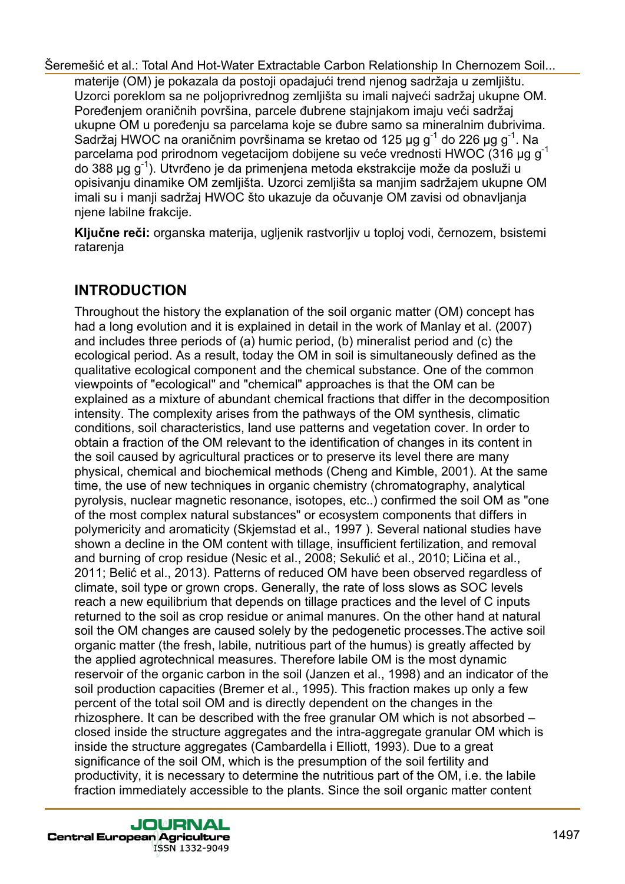materije (OM) je pokazala da postoji opadajući trend njenog sadržaja u zemljištu. Uzorci poreklom sa ne poljoprivrednog zemljišta su imali najveći sadržaj ukupne OM. Poređenjem oraničnih površina, parcele đubrene stajnjakom imaju veći sadržaj ukupne OM u poređenju sa parcelama koje se đubre samo sa mineralnim đubrivima. Sadržaj HWOC na oraničnim površinama se kretao od 125 µg g<sup>-1</sup> do 226 µg g<sup>-1</sup>. Na parcelama pod prirodnom vegetacijom dobijene su veće vrednosti HWOC (316 µg g<sup>-1</sup> do 388 μg g-1). Utvrđeno je da primenjena metoda ekstrakcije može da posluži u opisivanju dinamike OM zemljišta. Uzorci zemljišta sa manjim sadržajem ukupne OM imali su i manji sadržaj HWOC što ukazuje da očuvanje OM zavisi od obnavljanja njene labilne frakcije.

**Ključne reči:** organska materija, ugljenik rastvorljiv u toploj vodi, černozem, bsistemi ratarenja

## **INTRODUCTION**

Throughout the history the explanation of the soil organic matter (OM) concept has had a long evolution and it is explained in detail in the work of Manlay et al. (2007) and includes three periods of (a) humic period, (b) mineralist period and (c) the ecological period. As a result, today the OM in soil is simultaneously defined as the qualitative ecological component and the chemical substance. One of the common viewpoints of "ecological" and "chemical" approaches is that the OM can be explained as a mixture of abundant chemical fractions that differ in the decomposition intensity. The complexity arises from the pathways of the OM synthesis, climatic conditions, soil characteristics, land use patterns and vegetation cover. In order to obtain a fraction of the OM relevant to the identification of changes in its content in the soil caused by agricultural practices or to preserve its level there are many physical, chemical and biochemical methods (Cheng and Kimble, 2001). At the same time, the use of new techniques in organic chemistry (chromatography, analytical pyrolysis, nuclear magnetic resonance, isotopes, etc..) confirmed the soil OM as "one of the most complex natural substances" or ecosystem components that differs in polymericity and aromaticity (Skjemstad et al., 1997 ). Several national studies have shown a decline in the OM content with tillage, insufficient fertilization, and removal and burning of crop residue (Nesic et al., 2008; Sekulić et al., 2010; Ličina et al., 2011; Belić et al., 2013). Patterns of reduced OM have been observed regardless of climate, soil type or grown crops. Generally, the rate of loss slows as SOC levels reach a new equilibrium that depends on tillage practices and the level of C inputs returned to the soil as crop residue or animal manures. On the other hand at natural soil the OM changes are caused solely by the pedogenetic processes.The active soil organic matter (the fresh, labile, nutritious part of the humus) is greatly affected by the applied agrotechnical measures. Therefore labile OM is the most dynamic reservoir of the organic carbon in the soil (Janzen et al., 1998) and an indicator of the soil production capacities (Bremer et al., 1995). This fraction makes up only a few percent of the total soil OM and is directly dependent on the changes in the rhizosphere. It can be described with the free granular OM which is not absorbed – closed inside the structure aggregates and the intra-aggregate granular OM which is inside the structure aggregates (Cambardella i Elliott, 1993). Due to a great significance of the soil OM, which is the presumption of the soil fertility and productivity, it is necessary to determine the nutritious part of the OM, i.e. the labile fraction immediately accessible to the plants. Since the soil organic matter content Seremešić et al.: Total New Metric Extractable Carbon Relationship in Chernocen Solitanual and Hot-Water Extractable Carbon Relationship in Chernocen provides in the splitter of the property of the splitter of the splitter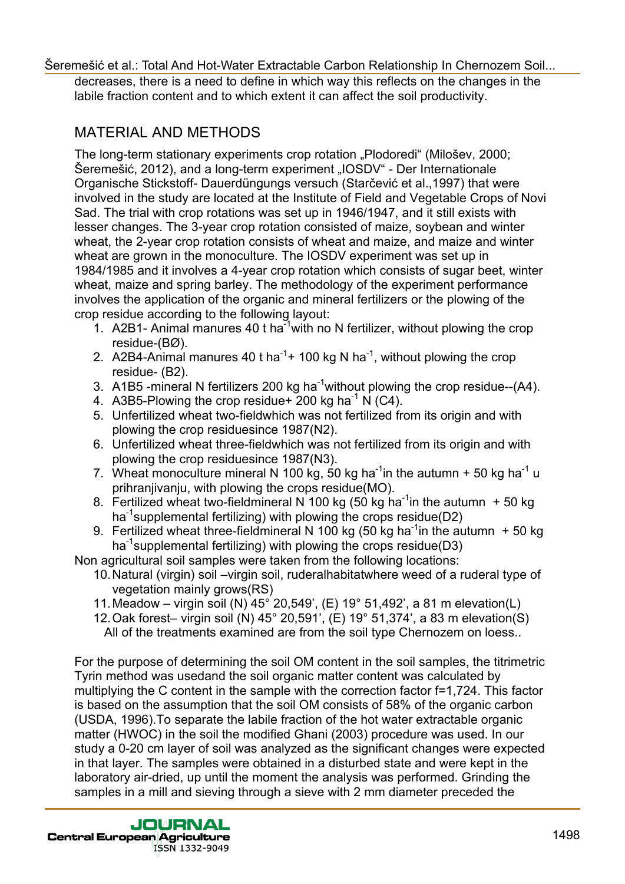decreases, there is a need to define in which way this reflects on the changes in the labile fraction content and to which extent it can affect the soil productivity.

## MATERIAL AND METHODS

The long-term stationary experiments crop rotation "Plodoredi" (Milošev, 2000; Šeremešić, 2012), and a long-term experiment "IOSDV" - Der Internationale Organische Stickstoff- Dauerdüngungs versuch (Starčević et al.,1997) that were involved in the study are located at the Institute of Field and Vegetable Crops of Novi Sad. The trial with crop rotations was set up in 1946/1947, and it still exists with lesser changes. The 3-year crop rotation consisted of maize, soybean and winter wheat, the 2-year crop rotation consists of wheat and maize, and maize and winter wheat are grown in the monoculture. The IOSDV experiment was set up in 1984/1985 and it involves a 4-year crop rotation which consists of sugar beet, winter wheat, maize and spring barley. The methodology of the experiment performance involves the application of the organic and mineral fertilizers or the plowing of the crop residue according to the following layout: Seremesite dat.: Total And Hot-Water Extractable Carbon Relationship in Chernozem Soli...<br>
Serematic of all and Hot-Water Extractable Carbon Carbon Relationship In Chernozem Solid Relationship In Carbon Relationship In Car

- 1. A2B1- Animal manures 40 t ha<sup>-1</sup>with no N fertilizer, without plowing the crop residue-(BØ).
- 2. A2B4-Animal manures 40 t ha<sup>-1</sup>+ 100 kg N ha<sup>-1</sup>, without plowing the crop residue- (B2).
- 3. A1B5 -mineral N fertilizers 200 kg ha<sup>-1</sup>without plowing the crop residue--(A4).
- 4. A3B5-Plowing the crop residue + 200 kg ha<sup>-1</sup> N (C4).
- 5. Unfertilized wheat two-fieldwhich was not fertilized from its origin and with plowing the crop residuesince 1987(N2).
- 6. Unfertilized wheat three-fieldwhich was not fertilized from its origin and with plowing the crop residuesince 1987(N3).
- 7. Wheat monoculture mineral N 100 kg, 50 kg ha<sup>-1</sup> in the autumn  $+50$  kg ha<sup>-1</sup> u prihranjivanju, with plowing the crops residue(MO).
- 8. Fertilized wheat two-fieldmineral N 100 kg (50 kg ha<sup>-1</sup>in the autumn  $+50$  kg ha<sup>-1</sup>supplemental fertilizing) with plowing the crops residue(D2)
- 9. Fertilized wheat three-fieldmineral N 100 kg (50 kg ha<sup>-1</sup>in the autumn  $+50$  kg ha<sup>-1</sup>supplemental fertilizing) with plowing the crops residue(D3)

Non agricultural soil samples were taken from the following locations:

- 10. Natural (virgin) soil –virgin soil, ruderalhabitatwhere weed of a ruderal type of vegetation mainly grows(RS)
- 11. Meadow virgin soil (N) 45° 20,549', (E) 19° 51,492', a 81 m elevation(L)
- 12. Oak forest– virgin soil (N) 45° 20,591', (E) 19° 51,374', a 83 m elevation(S) All of the treatments examined are from the soil type Chernozem on loess..

For the purpose of determining the soil OM content in the soil samples, the titrimetric Tyrin method was usedand the soil organic matter content was calculated by multiplying the C content in the sample with the correction factor f=1,724. This factor is based on the assumption that the soil OM consists of 58% of the organic carbon (USDA, 1996).To separate the labile fraction of the hot water extractable organic matter (HWOC) in the soil the modified Ghani (2003) procedure was used. In our study a 0-20 cm layer of soil was analyzed as the significant changes were expected in that layer. The samples were obtained in a disturbed state and were kept in the laboratory air-dried, up until the moment the analysis was performed. Grinding the samples in a mill and sieving through a sieve with 2 mm diameter preceded the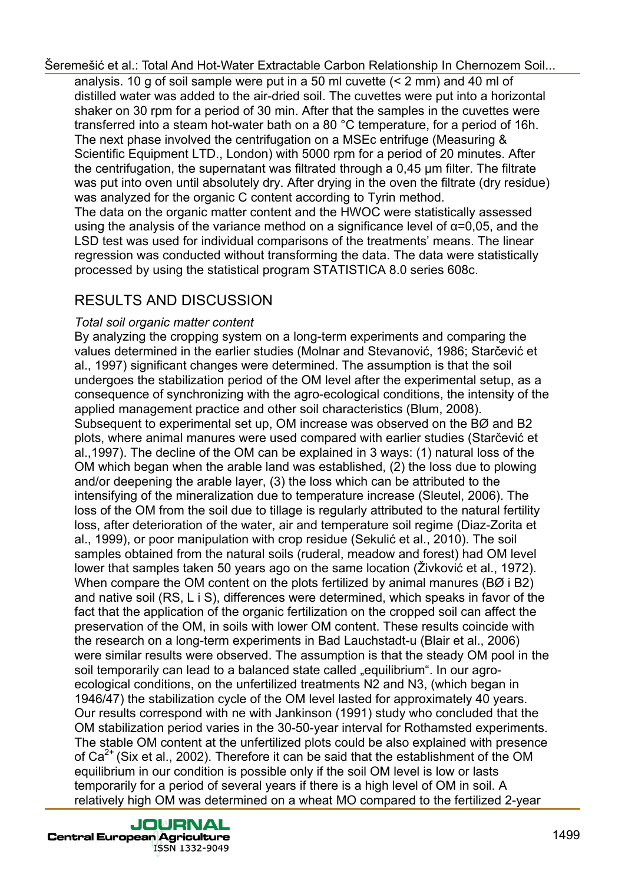analysis. 10 g of soil sample were put in a 50 ml cuvette (< 2 mm) and 40 ml of distilled water was added to the air-dried soil. The cuvettes were put into a horizontal shaker on 30 rpm for a period of 30 min. After that the samples in the cuvettes were transferred into a steam hot-water bath on a 80 °C temperature, for a period of 16h. The next phase involved the centrifugation on a MSEc entrifuge (Measuring & Scientific Equipment LTD., London) with 5000 rpm for a period of 20 minutes. After the centrifugation, the supernatant was filtrated through a 0,45 µm filter. The filtrate was put into oven until absolutely dry. After drying in the oven the filtrate (dry residue) was analyzed for the organic C content according to Tyrin method. The data on the organic matter content and the HWOC were statistically assessed using the analysis of the variance method on a significance level of  $\alpha$ =0,05, and the LSD test was used for individual comparisons of the treatments' means. The linear regression was conducted without transforming the data. The data were statistically processed by using the statistical program STATISTICA 8.0 series 608c.

## RESULTS AND DISCUSSION

#### *Total soil organic matter content*

By analyzing the cropping system on a long-term experiments and comparing the values determined in the earlier studies (Molnar and Stevanović, 1986; Starčević et al., 1997) significant changes were determined. The assumption is that the soil undergoes the stabilization period of the OM level after the experimental setup, as a consequence of synchronizing with the agro-ecological conditions, the intensity of the applied management practice and other soil characteristics (Blum, 2008). Subsequent to experimental set up, OM increase was observed on the BØ and B2 plots, where animal manures were used compared with earlier studies (Starčević et al.,1997). The decline of the OM can be explained in 3 ways: (1) natural loss of the OM which began when the arable land was established, (2) the loss due to plowing and/or deepening the arable layer, (3) the loss which can be attributed to the intensifying of the mineralization due to temperature increase (Sleutel, 2006). The loss of the OM from the soil due to tillage is regularly attributed to the natural fertility loss, after deterioration of the water, air and temperature soil regime (Diaz-Zorita et al., 1999), or poor manipulation with crop residue (Sekulić et al., 2010). The soil samples obtained from the natural soils (ruderal, meadow and forest) had OM level lower that samples taken 50 years ago on the same location (Živković et al., 1972). When compare the OM content on the plots fertilized by animal manures (BØ i B2) and native soil (RS, L i S), differences were determined, which speaks in favor of the fact that the application of the organic fertilization on the cropped soil can affect the preservation of the OM, in soils with lower OM content. These results coincide with the research on a long-term experiments in Bad Lauchstadt-u (Blair et al., 2006) were similar results were observed. The assumption is that the steady OM pool in the soil temporarily can lead to a balanced state called "equilibrium". In our agroecological conditions, on the unfertilized treatments N2 and N3, (which began in 1946/47) the stabilization cycle of the OM level lasted for approximately 40 years. Our results correspond with ne with Jankinson (1991) study who concluded that the OM stabilization period varies in the 30-50-year interval for Rothamsted experiments. The stable OM content at the unfertilized plots could be also explained with presence of  $Ca<sup>2+</sup>$  (Six et al., 2002). Therefore it can be said that the establishment of the OM equilibrium in our condition is possible only if the soil OM level is low or lasts temporarily for a period of several years if there is a high level of OM in soil. A relatively high OM was determined on a wheat MO compared to the fertilized 2-year Seremesic dial. Total Xond Hot-Water Extractable Carbon Relationship in Chernozem Solutionship in Chernozem Solutionship in Chernozem and the allege vera put into a horizontal shake overa put into a horizontal shake week p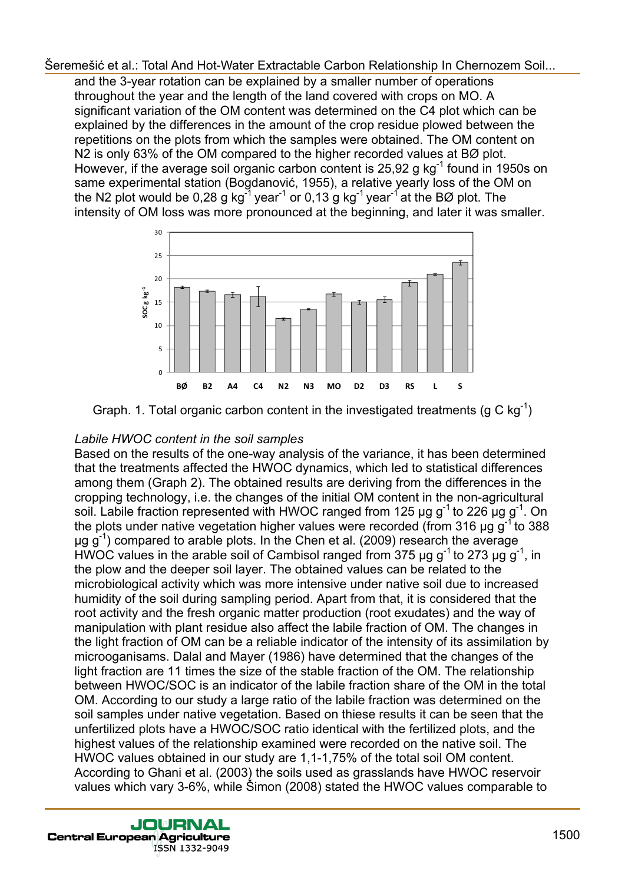and the 3-year rotation can be explained by a smaller number of operations throughout the year and the length of the land covered with crops on MO. A significant variation of the OM content was determined on the C4 plot which can be explained by the differences in the amount of the crop residue plowed between the repetitions on the plots from which the samples were obtained. The OM content on N2 is only 63% of the OM compared to the higher recorded values at BØ plot. However, if the average soil organic carbon content is 25,92 g  $kg^{-1}$  found in 1950s on same experimental station (Bogdanović, 1955), a relative yearly loss of the OM on the N2 plot would be 0,28 g kg<sup>-1</sup> year<sup>-1</sup> or 0,13 g kg<sup>-1</sup> year<sup>-1</sup> at the BØ plot. The intensity of OM loss was more pronounced at the beginning, and later it was smaller.



Graph. 1. Total organic carbon content in the investigated treatments (g C kg<sup>-1</sup>)

#### *Labile HWOC content in the soil samples*

Based on the results of the one-way analysis of the variance, it has been determined that the treatments affected the HWOC dynamics, which led to statistical differences among them (Graph 2). The obtained results are deriving from the differences in the cropping technology, i.e. the changes of the initial OM content in the non-agricultural soil. Labile fraction represented with HWOC ranged from 125  $\mu$ g g<sup>-1</sup> to 226  $\mu$ g g<sup>-1</sup>. On the plots under native vegetation higher values were recorded (from 316  $\mu$ g g<sup>-1</sup> to 388  $\mu$ g g<sup>-1</sup>) compared to arable plots. In the Chen et al. (2009) research the average HWOC values in the arable soil of Cambisol ranged from 375  $\mu$ g g<sup>-1</sup> to 273  $\mu$ g g<sup>-1</sup>, in the plow and the deeper soil layer. The obtained values can be related to the microbiological activity which was more intensive under native soil due to increased humidity of the soil during sampling period. Apart from that, it is considered that the root activity and the fresh organic matter production (root exudates) and the way of manipulation with plant residue also affect the labile fraction of OM. The changes in the light fraction of OM can be a reliable indicator of the intensity of its assimilation by microoganisams. Dalal and Mayer (1986) have determined that the changes of the light fraction are 11 times the size of the stable fraction of the OM. The relationship between HWOC/SOC is an indicator of the labile fraction share of the OM in the total OM. According to our study a large ratio of the labile fraction was determined on the soil samples under native vegetation. Based on thiese results it can be seen that the unfertilized plots have a HWOC/SOC ratio identical with the fertilized plots, and the highest values of the relationship examined were recorded on the native soil. The HWOC values obtained in our study are 1,1-1,75% of the total soil OM content. According to Ghani et al. (2003) the soils used as grasslands have HWOC reservoir values which vary 3-6%, while Šimon (2008) stated the HWOC values comparable to Seremesic dial.: Total And Hot-Water Extractable Carbon Relationship in Chernocen Relationship<br>surface that the system and the regard of the land covered with copies in AOC, A<br>completed the system and the regard of the fin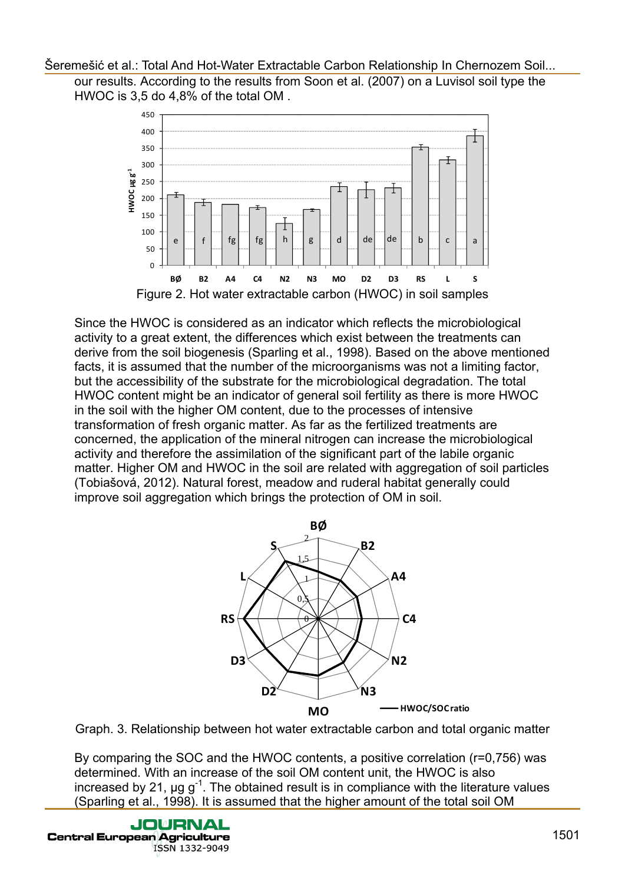



Since the HWOC is considered as an indicator which reflects the microbiological activity to a great extent, the differences which exist between the treatments can derive from the soil biogenesis (Sparling et al., 1998). Based on the above mentioned facts, it is assumed that the number of the microorganisms was not a limiting factor, but the accessibility of the substrate for the microbiological degradation. The total HWOC content might be an indicator of general soil fertility as there is more HWOC in the soil with the higher OM content, due to the processes of intensive transformation of fresh organic matter. As far as the fertilized treatments are concerned, the application of the mineral nitrogen can increase the microbiological activity and therefore the assimilation of the significant part of the labile organic matter. Higher OM and HWOC in the soil are related with aggregation of soil particles (Tobiašová, 2012). Natural forest, meadow and ruderal habitat generally could improve soil aggregation which brings the protection of OM in soil. Seremešić et al.: Total And Hot-Water Extractable Carbon Relationship in Chernocen Solutionship in Chernocen Solutionship in Chernocen Solutionship In Chernocen Solutionship In Chernocen Solutionship In Chernocen Carbon R



Graph. 3. Relationship between hot water extractable carbon and total organic matter

By comparing the SOC and the HWOC contents, a positive correlation (r=0,756) was determined. With an increase of the soil OM content unit, the HWOC is also increased by 21,  $\mu$ g g<sup>-1</sup>. The obtained result is in compliance with the literature values (Sparling et al., 1998). It is assumed that the higher amount of the total soil OM

ISSN 1332-9049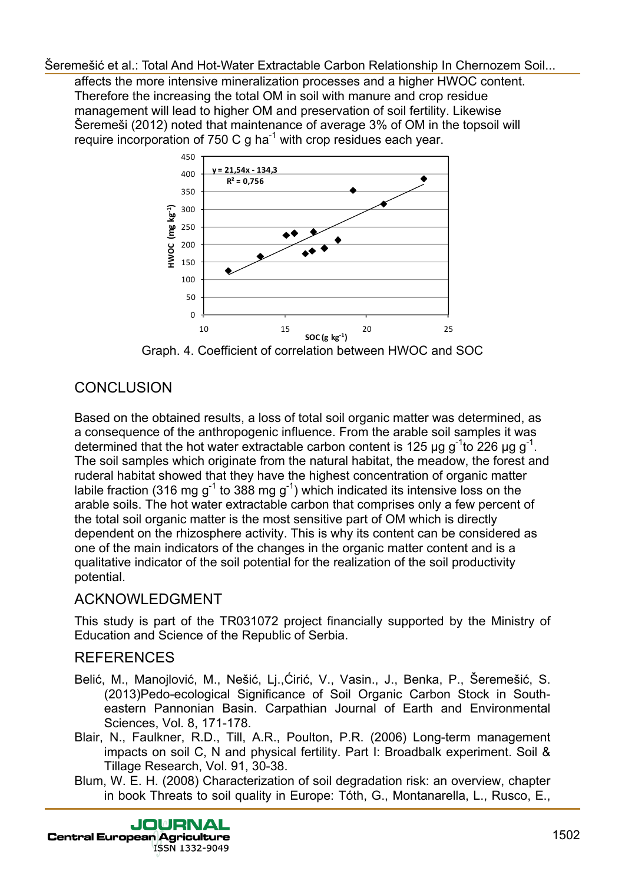affects the more intensive mineralization processes and a higher HWOC content. Therefore the increasing the total OM in soil with manure and crop residue management will lead to higher OM and preservation of soil fertility. Likewise Šeremeši (2012) noted that maintenance of average 3% of OM in the topsoil will require incorporation of 750 C g ha<sup>-1</sup> with crop residues each year.



## **CONCLUSION**

Based on the obtained results, a loss of total soil organic matter was determined, as a consequence of the anthropogenic influence. From the arable soil samples it was determined that the hot water extractable carbon content is 125 μg g<sup>-1</sup>to 226 μg g<sup>-1</sup>. The soil samples which originate from the natural habitat, the meadow, the forest and ruderal habitat showed that they have the highest concentration of organic matter labile fraction (316 mg  $g^{-1}$  to 388 mg  $g^{-1}$ ) which indicated its intensive loss on the arable soils. The hot water extractable carbon that comprises only a few percent of the total soil organic matter is the most sensitive part of OM which is directly dependent on the rhizosphere activity. This is why its content can be considered as one of the main indicators of the changes in the organic matter content and is a qualitative indicator of the soil potential for the realization of the soil productivity potential. Serembes that the Water Extractable Carbon Relationship in Chernozem Solutionship in Chernoxem Solutionship In Chernoxem Solutionship In Chernoxem Carbon Relationship In Chernoxem Solutionship In Chernoxem Society and the

## ACKNOWLEDGMENT

This study is part of the TR031072 project financially supported by the Ministry of Education and Science of the Republic of Serbia.

## REFERENCES

- Belić, M., Manojlović, M., Nešić, Lj.,Ćirić, V., Vasin., J., Benka, P., Šeremešić, S. (2013)Pedo-ecological Significance of Soil Organic Carbon Stock in Southeastern Pannonian Basin. Carpathian Journal of Earth and Environmental Sciences, Vol. 8, 171-178.
- Blair, N., Faulkner, R.D., Till, A.R., Poulton, P.R. (2006) Long-term management impacts on soil C, N and physical fertility. Part I: Broadbalk experiment. Soil & Tillage Research, Vol. 91, 30-38.
- Blum, W. E. H. (2008) Characterization of soil degradation risk: an overview, chapter in book Threats to soil quality in Europe: Тóth, G., Montanarella, L., Rusco, E.,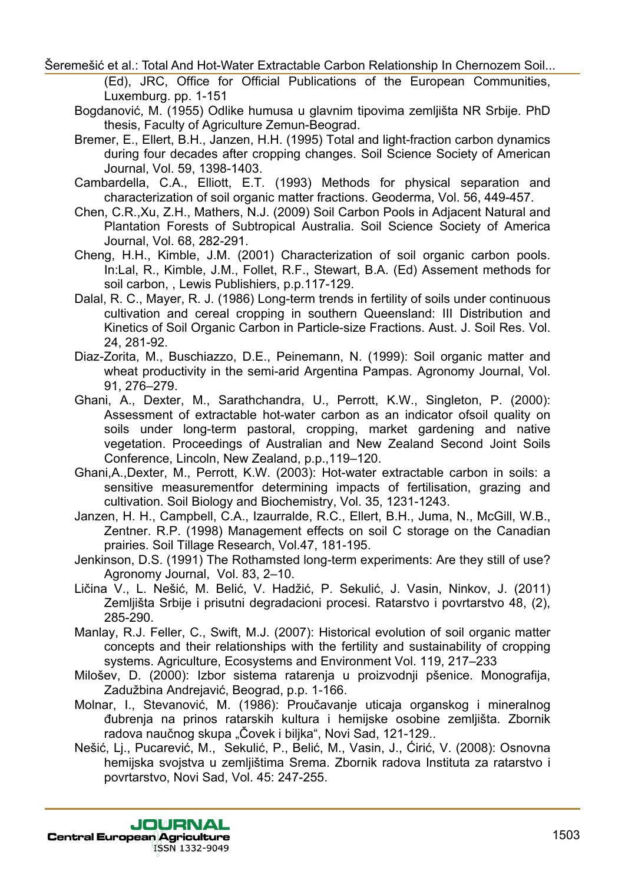(Ed), JRC, Office for Official Publications of the European Communities, Luxemburg. pp. 1-151

Bogdanović, M. (1955) Odlike humusa u glavnim tipovima zemljišta NR Srbije. PhD thesis, Faculty of Agriculture Zemun-Beograd.

Bremer, E., Ellert, B.H., Janzen, H.H. (1995) Total and light-fraction carbon dynamics during four decades after cropping changes. Soil Science Society of American Journal, Vol. 59, 1398-1403.

Cambardella, C.A., Elliott, E.T. (1993) Methods for physical separation and characterization of soil organic matter fractions. Geoderma, Vol. 56, 449-457.

- Chen, C.R.,Xu, Z.H., Mathers, N.J. (2009) Soil Carbon Pools in Adjacent Natural and Plantation Forests of Subtropical Australia. Soil Science Society of America Journal, Vol. 68, 282-291.
- Cheng, H.H., Kimble, J.M. (2001) Characterization of soil organic carbon pools. In:Lal, R., Kimble, J.M., Follet, R.F., Stewart, B.A. (Ed) Assement methods for soil carbon, , Lewis Publishiers, p.p.117-129.
- Dalal, R. C., Mayer, R. J. (1986) Long-term trends in fertility of soils under continuous cultivation and cereal cropping in southern Queensland: III Distribution and Kinetics of Soil Organic Carbon in Particle-size Fractions. Aust. J. Soil Res. Vol. 24, 281-92.
- Diaz-Zorita, M., Buschiazzo, D.E., Peinemann, N. (1999): Soil organic matter and wheat productivity in the semi-arid Argentina Pampas. Agronomy Journal, Vol. 91, 276–279.
- Ghani, A., Dexter, M., Sarathchandra, U., Perrott, K.W., Singleton, P. (2000): Assessment of extractable hot-water carbon as an indicator ofsoil quality on soils under long-term pastoral, cropping, market gardening and native vegetation. Proceedings of Australian and New Zealand Second Joint Soils Conference, Lincoln, New Zealand, p.p.,119–120. Seremešić et al.: Total No.: Total No.: Total No.: Web Extractable Carbon Relationship In Chernozem Solid...<br>
Luxence Extractable Carbon Relationship In Chernozem Solid.<br>
Hotel And Hot-Water Extractable Carbon Relationship
	- Ghani,A.,Dexter, M., Perrott, K.W. (2003): Hot-water extractable carbon in soils: a sensitive measurementfor determining impacts of fertilisation, grazing and cultivation. Soil Biology and Biochemistry, Vol. 35, 1231-1243.
	- Janzen, H. H., Campbell, C.A., Izaurralde, R.C., Ellert, B.H., Juma, N., McGill, W.B., Zentner. R.P. (1998) Management effects on soil C storage on the Canadian prairies. Soil Tillage Research, Vol.47, 181-195.
	- Jenkinson, D.S. (1991) The Rothamsted long-term experiments: Are they still of use? Agronomy Journal, Vol. 83, 2–10.
	- Ličina V., L. Nešić, M. Belić, V. Hadžić, P. Sekulić, J. Vasin, Ninkov, J. (2011) Zemljišta Srbije i prisutni degradacioni procesi. Ratarstvo i povrtarstvo 48, (2), 285-290.
	- Manlay, R.J. Feller, C., Swift, M.J. (2007): Historical evolution of soil organic matter concepts and their relationships with the fertility and sustainability of cropping systems. Agriculture, Ecosystems and Environment Vol. 119, 217–233
	- Milošev, D. (2000): Izbor sistema ratarenja u proizvodnji pšenice. Monografija, Zadužbina Andrejavić, Beograd, p.p. 1-166.
	- Molnar, I., Stevanović, M. (1986): Proučavanje uticaja organskog i mineralnog đubrenja na prinos ratarskih kultura i hemijske osobine zemljišta. Zbornik radova naučnog skupa "Čovek i biljka", Novi Sad, 121-129..
	- Nešić, Lj., Pucarević, M., Sekulić, P., Belić, M., Vasin, J., Ćirić, V. (2008): Osnovna hemijska svojstva u zemljištima Srema. Zbornik radova Instituta za ratarstvo i povrtarstvo, Novi Sad, Vol. 45: 247-255.